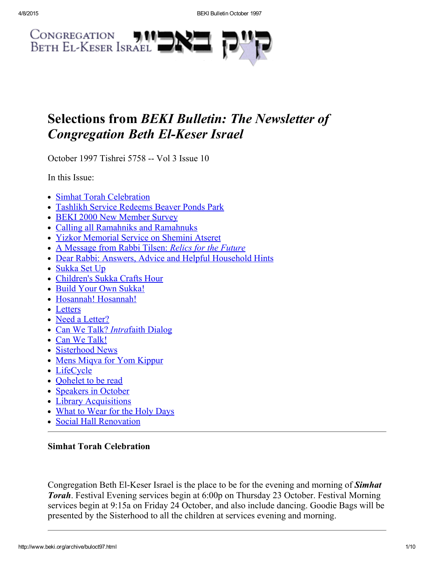

# Selections from BEKI Bulletin: The Newsletter of **Congregation Beth El-Keser Israel**

October 1997 Tishrei 5758 -- Vol 3 Issue 10

In this Issue:

- Simhat Torah [Celebration](#page-0-0)
- Tashlikh Service [Redeems](#page-1-1) Beaver Ponds Park
- BEKI 2000 New [Member](#page-1-0) Survey
- Calling all Ramahniks and [Ramahnuks](#page-2-2)
- Yizkor [Memorial](#page-2-0) Service on Shemini Atseret
- A [Message](#page-2-1) from Rabbi Tilsen: Relics for the Future
- Dear Rabbi: Answers, Advice and Helpful [Household](#page-4-0) Hints
- [Sukka](#page-4-1) Set Up
- [Children's](#page-4-2) Sukka Crafts Hour
- Build Your Own Sukka!
- Hosannah! Hosannah!
- [Letters](#page-5-1)
- Need a [Letter?](#page-5-0)
- Can We Talk? Intrafaith [Dialog](#page-6-1)
- Can We [Talk!](#page-6-2)
- [Sisterhood](#page-6-0) News
- Mens Miqva for Yom [Kippur](#page-6-3)
- [LifeCycle](#page-7-0)
- Oohelet to be read
- [Speakers](#page-8-1) in October
- Library [Acquisitions](#page-8-2)
- What to [Wear](#page-8-0) for the Holy Days
- Social Hall [Renovation](#page-8-3)

# <span id="page-0-0"></span>Simhat Torah Celebration

Congregation Beth El-Keser Israel is the place to be for the evening and morning of **Simhat** Torah. Festival Evening services begin at 6:00p on Thursday 23 October. Festival Morning services begin at 9:15a on Friday 24 October, and also include dancing. Goodie Bags will be presented by the Sisterhood to all the children at services evening and morning.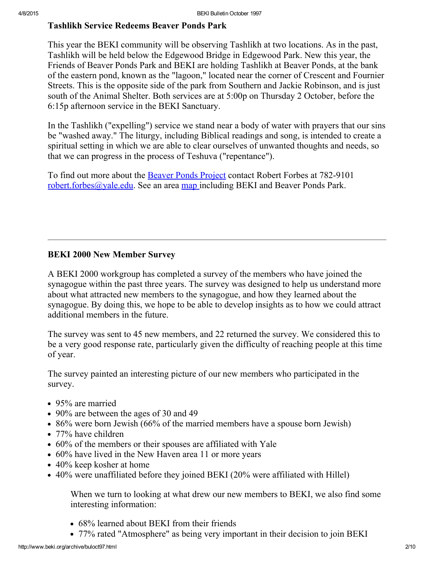# <span id="page-1-1"></span>Tashlikh Service Redeems Beaver Ponds Park

This year the BEKI community will be observing Tashlikh at two locations. As in the past, Tashlikh will be held below the Edgewood Bridge in Edgewood Park. New this year, the Friends of Beaver Ponds Park and BEKI are holding Tashlikh at Beaver Ponds, at the bank of the eastern pond, known as the "lagoon," located near the corner of Crescent and Fournier Streets. This is the opposite side of the park from Southern and Jackie Robinson, and is just south of the Animal Shelter. Both services are at 5:00p on Thursday 2 October, before the 6:15p afternoon service in the BEKI Sanctuary.

In the Tashlikh ("expelling") service we stand near a body of water with prayers that our sins be "washed away." The liturgy, including Biblical readings and song, is intended to create a spiritual setting in which we are able to clear ourselves of unwanted thoughts and needs, so that we can progress in the process of Teshuva ("repentance").

To find out more about the Beaver Ponds [Project](http://www.beki.org/archive/tiqunola.html#beaverpond) contact Robert Forbes at 782-9101 [robert.forbes@yale.edu](mailto:robert.forbes@yale.edu). See an area [map](http://www.beki.org/archive/map.html) including BEKI and Beaver Ponds Park.

# <span id="page-1-0"></span>BEKI 2000 New Member Survey

A BEKI 2000 workgroup has completed a survey of the members who have joined the synagogue within the past three years. The survey was designed to help us understand more about what attracted new members to the synagogue, and how they learned about the synagogue. By doing this, we hope to be able to develop insights as to how we could attract additional members in the future.

The survey was sent to 45 new members, and 22 returned the survey. We considered this to be a very good response rate, particularly given the difficulty of reaching people at this time of year.

The survey painted an interesting picture of our new members who participated in the survey.

- 95% are married
- 90% are between the ages of 30 and 49
- 86% were born Jewish (66% of the married members have a spouse born Jewish)
- 77% have children
- 60% of the members or their spouses are affiliated with Yale
- 60% have lived in the New Haven area 11 or more years
- 40% keep kosher at home
- 40% were unaffiliated before they joined BEKI (20% were affiliated with Hillel)

When we turn to looking at what drew our new members to BEKI, we also find some interesting information:

- 68% learned about BEKI from their friends
- 77% rated "Atmosphere" as being very important in their decision to join BEKI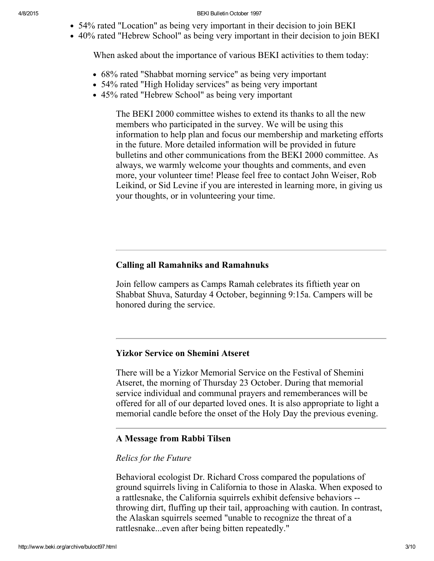- 54% rated "Location" as being very important in their decision to join BEKI
- 40% rated "Hebrew School" as being very important in their decision to join BEKI

When asked about the importance of various BEKI activities to them today:

- 68% rated "Shabbat morning service" as being very important
- 54% rated "High Holiday services" as being very important
- 45% rated "Hebrew School" as being very important

The BEKI 2000 committee wishes to extend its thanks to all the new members who participated in the survey. We will be using this information to help plan and focus our membership and marketing efforts in the future. More detailed information will be provided in future bulletins and other communications from the BEKI 2000 committee. As always, we warmly welcome your thoughts and comments, and even more, your volunteer time! Please feel free to contact John Weiser, Rob Leikind, or Sid Levine if you are interested in learning more, in giving us your thoughts, or in volunteering your time.

## <span id="page-2-2"></span>Calling all Ramahniks and Ramahnuks

Join fellow campers as Camps Ramah celebrates its fiftieth year on Shabbat Shuva, Saturday 4 October, beginning 9:15a. Campers will be honored during the service.

#### <span id="page-2-0"></span>Yizkor Service on Shemini Atseret

There will be a Yizkor Memorial Service on the Festival of Shemini Atseret, the morning of Thursday 23 October. During that memorial service individual and communal prayers and rememberances will be offered for all of our departed loved ones. It is also appropriate to light a memorial candle before the onset of the Holy Day the previous evening.

#### <span id="page-2-1"></span>A Message from Rabbi Tilsen

#### Relics for the Future

Behavioral ecologist Dr. Richard Cross compared the populations of ground squirrels living in California to those in Alaska. When exposed to a rattlesnake, the California squirrels exhibit defensive behaviors throwing dirt, fluffing up their tail, approaching with caution. In contrast, the Alaskan squirrels seemed "unable to recognize the threat of a rattlesnake...even after being bitten repeatedly."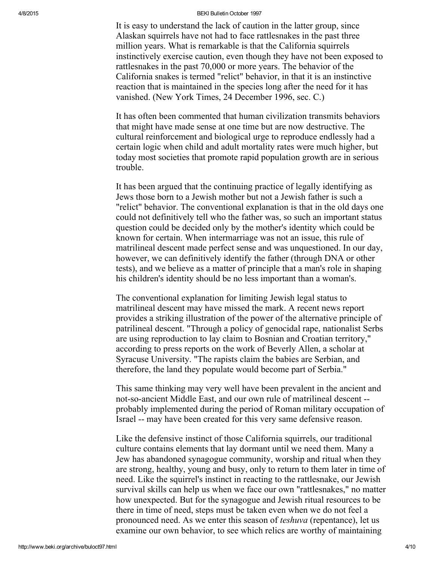It is easy to understand the lack of caution in the latter group, since Alaskan squirrels have not had to face rattlesnakes in the past three million years. What is remarkable is that the California squirrels instinctively exercise caution, even though they have not been exposed to rattlesnakes in the past 70,000 or more years. The behavior of the California snakes is termed "relict" behavior, in that it is an instinctive reaction that is maintained in the species long after the need for it has vanished. (New York Times, 24 December 1996, sec. C.)

It has often been commented that human civilization transmits behaviors that might have made sense at one time but are now destructive. The cultural reinforcement and biological urge to reproduce endlessly had a certain logic when child and adult mortality rates were much higher, but today most societies that promote rapid population growth are in serious trouble.

It has been argued that the continuing practice of legally identifying as Jews those born to a Jewish mother but not a Jewish father is such a "relict" behavior. The conventional explanation is that in the old days one could not definitively tell who the father was, so such an important status question could be decided only by the mother's identity which could be known for certain. When intermarriage was not an issue, this rule of matrilineal descent made perfect sense and was unquestioned. In our day, however, we can definitively identify the father (through DNA or other tests), and we believe as a matter of principle that a man's role in shaping his children's identity should be no less important than a woman's.

The conventional explanation for limiting Jewish legal status to matrilineal descent may have missed the mark. A recent news report provides a striking illustration of the power of the alternative principle of patrilineal descent. "Through a policy of genocidal rape, nationalist Serbs are using reproduction to lay claim to Bosnian and Croatian territory," according to press reports on the work of Beverly Allen, a scholar at Syracuse University. "The rapists claim the babies are Serbian, and therefore, the land they populate would become part of Serbia."

This same thinking may very well have been prevalent in the ancient and not-so-ancient Middle East, and our own rule of matrilineal descent -probably implemented during the period of Roman military occupation of Israel -- may have been created for this very same defensive reason.

Like the defensive instinct of those California squirrels, our traditional culture contains elements that lay dormant until we need them. Many a Jew has abandoned synagogue community, worship and ritual when they are strong, healthy, young and busy, only to return to them later in time of need. Like the squirrel's instinct in reacting to the rattlesnake, our Jewish survival skills can help us when we face our own "rattlesnakes," no matter how unexpected. But for the synagogue and Jewish ritual resources to be there in time of need, steps must be taken even when we do not feel a pronounced need. As we enter this season of teshuva (repentance), let us examine our own behavior, to see which relics are worthy of maintaining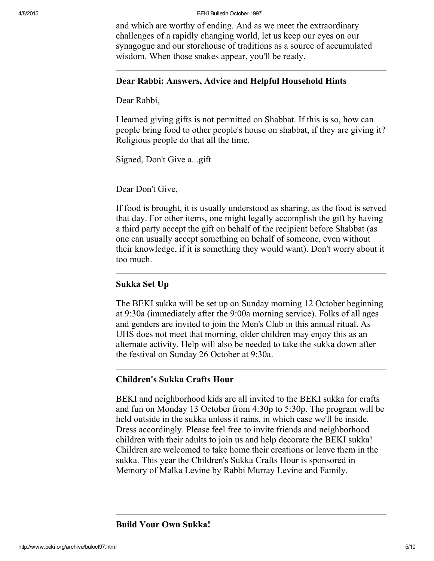and which are worthy of ending. And as we meet the extraordinary challenges of a rapidly changing world, let us keep our eyes on our synagogue and our storehouse of traditions as a source of accumulated wisdom. When those snakes appear, you'll be ready.

#### <span id="page-4-0"></span>Dear Rabbi: Answers, Advice and Helpful Household Hints

Dear Rabbi,

I learned giving gifts is not permitted on Shabbat. If this is so, how can people bring food to other people's house on shabbat, if they are giving it? Religious people do that all the time.

Signed, Don't Give a...gift

Dear Don't Give,

If food is brought, it is usually understood as sharing, as the food is served that day. For other items, one might legally accomplish the gift by having a third party accept the gift on behalf of the recipient before Shabbat (as one can usually accept something on behalf of someone, even without their knowledge, if it is something they would want). Don't worry about it too much.

### <span id="page-4-1"></span>Sukka Set Up

The BEKI sukka will be set up on Sunday morning 12 October beginning at 9:30a (immediately after the 9:00a morning service). Folks of all ages and genders are invited to join the Men's Club in this annual ritual. As UHS does not meet that morning, older children may enjoy this as an alternate activity. Help will also be needed to take the sukka down after the festival on Sunday 26 October at 9:30a.

### <span id="page-4-2"></span>Children's Sukka Crafts Hour

BEKI and neighborhood kids are all invited to the BEKI sukka for crafts and fun on Monday 13 October from 4:30p to 5:30p. The program will be held outside in the sukka unless it rains, in which case we'll be inside. Dress accordingly. Please feel free to invite friends and neighborhood children with their adults to join us and help decorate the BEKI sukka! Children are welcomed to take home their creations or leave them in the sukka. This year the Children's Sukka Crafts Hour is sponsored in Memory of Malka Levine by Rabbi Murray Levine and Family.

Build Your Own Sukka!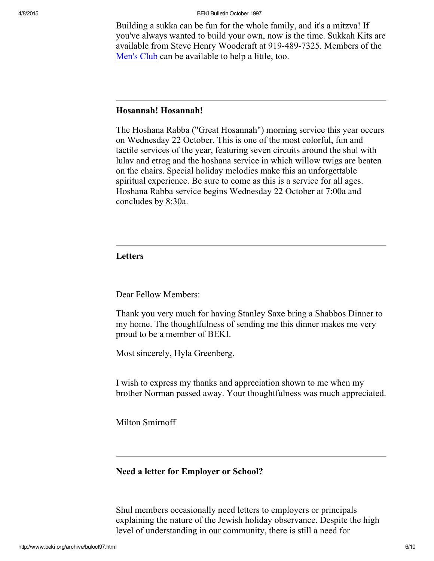Building a sukka can be fun for the whole family, and it's a mitzva! If you've always wanted to build your own, now is the time. Sukkah Kits are available from Steve Henry Woodcraft at 919-489-7325. Members of the [Men's](http://www.beki.org/archive/mensclub.html) Club can be available to help a little, too.

## Hosannah! Hosannah!

The Hoshana Rabba ("Great Hosannah") morning service this year occurs on Wednesday 22 October. This is one of the most colorful, fun and tactile services of the year, featuring seven circuits around the shul with lulav and etrog and the hoshana service in which willow twigs are beaten on the chairs. Special holiday melodies make this an unforgettable spiritual experience. Be sure to come as this is a service for all ages. Hoshana Rabba service begins Wednesday 22 October at 7:00a and concludes by 8:30a.

## <span id="page-5-1"></span>Letters

Dear Fellow Members:

Thank you very much for having Stanley Saxe bring a Shabbos Dinner to my home. The thoughtfulness of sending me this dinner makes me very proud to be a member of BEKI.

Most sincerely, Hyla Greenberg.

I wish to express my thanks and appreciation shown to me when my brother Norman passed away. Your thoughtfulness was much appreciated.

Milton Smirnoff

#### <span id="page-5-0"></span>Need a letter for Employer or School?

Shul members occasionally need letters to employers or principals explaining the nature of the Jewish holiday observance. Despite the high level of understanding in our community, there is still a need for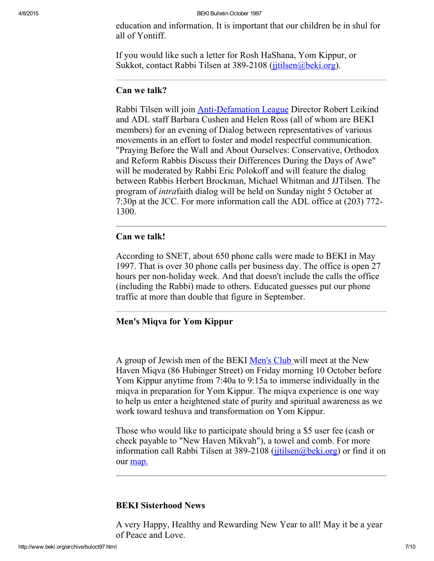education and information. It is important that our children be in shul for all of Yontiff.

If you would like such a letter for Rosh HaShana, Yom Kippur, or Sukkot, contact Rabbi Tilsen at 389-2108 (julisen@beki.org).

#### <span id="page-6-1"></span>Can we talk?

Rabbi Tilsen will join Anti-Defamation League Director Robert Leikind and ADL staff Barbara Cushen and Helen Ross (all of whom are BEKI members) for an evening of Dialog between representatives of various movements in an effort to foster and model respectful communication. "Praying Before the Wall and About Ourselves: Conservative, Orthodox and Reform Rabbis Discuss their Differences During the Days of Awe" will be moderated by Rabbi Eric Polokoff and will feature the dialog between Rabbis Herbert Brockman, Michael Whitman and JJTilsen. The program of intrafaith dialog will be held on Sunday night 5 October at 7:30p at the JCC. For more information call the ADL office at (203) 772 1300.

### <span id="page-6-2"></span>Can we talk!

According to SNET, about 650 phone calls were made to BEKI in May 1997. That is over 30 phone calls per business day. The office is open 27 hours per non-holiday week. And that doesn't include the calls the office (including the Rabbi) made to others. Educated guesses put our phone traffic at more than double that figure in September.

## <span id="page-6-3"></span>Men's Miqva for Yom Kippur

A group of Jewish men of the BEKI [Men's](http://www.beki.org/archive/mensclub.html) Club will meet at the New Haven Miqva (86 Hubinger Street) on Friday morning 10 October before Yom Kippur anytime from 7:40a to 9:15a to immerse individually in the miqva in preparation for Yom Kippur. The miqva experience is one way to help us enter a heightened state of purity and spiritual awareness as we work toward teshuva and transformation on Yom Kippur.

Those who would like to participate should bring a \$5 user fee (cash or check payable to "New Haven Mikvah"), a towel and comb. For more information call Rabbi Tilsen at  $389-2108$  (jitilsen@beki.org) or find it on our [map.](http://www.beki.org/archive/mapnear.html)

### <span id="page-6-0"></span>BEKI Sisterhood News

A very Happy, Healthy and Rewarding New Year to all! May it be a year of Peace and Love.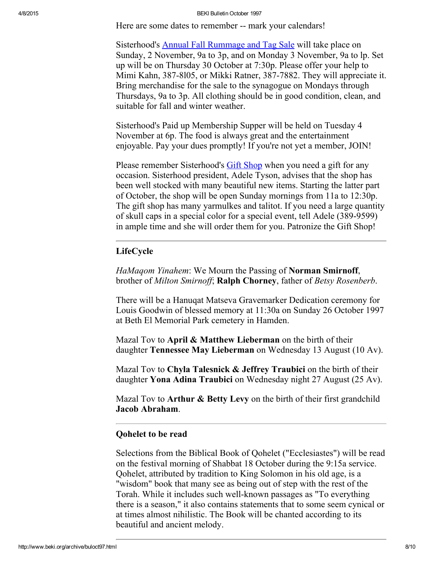Here are some dates to remember -- mark your calendars!

Sisterhood's Annual Fall [Rummage](http://www.beki.org/archive/sisterhood.html#rummage) and Tag Sale will take place on Sunday, 2 November, 9a to 3p, and on Monday 3 November, 9a to lp. Set up will be on Thursday 30 October at 7:30p. Please offer your help to Mimi Kahn, 387-8105, or Mikki Ratner, 387-7882. They will appreciate it. Bring merchandise for the sale to the synagogue on Mondays through Thursdays, 9a to 3p. All clothing should be in good condition, clean, and suitable for fall and winter weather.

Sisterhood's Paid up Membership Supper will be held on Tuesday 4 November at 6p. The food is always great and the entertainment enjoyable. Pay your dues promptly! If you're not yet a member, JOIN!

Please remember Sisterhood's Gift [Shop](http://www.beki.org/archive/sisterhood.html#giftshop) when you need a gift for any occasion. Sisterhood president, Adele Tyson, advises that the shop has been well stocked with many beautiful new items. Starting the latter part of October, the shop will be open Sunday mornings from 11a to 12:30p. The gift shop has many yarmulkes and talitot. If you need a large quantity of skull caps in a special color for a special event, tell Adele (389-9599) in ample time and she will order them for you. Patronize the Gift Shop!

#### <span id="page-7-0"></span>LifeCycle

HaMagom Yinahem: We Mourn the Passing of Norman Smirnoff, brother of Milton Smirnoff; Ralph Chorney, father of Betsy Rosenberb.

There will be a Hanuqat Matseva Gravemarker Dedication ceremony for Louis Goodwin of blessed memory at 11:30a on Sunday 26 October 1997 at Beth El Memorial Park cemetery in Hamden.

Mazal Tov to April & Matthew Lieberman on the birth of their daughter Tennessee May Lieberman on Wednesday 13 August (10 Av).

Mazal Tov to Chyla Talesnick  $\&$  Jeffrey Traubici on the birth of their daughter Yona Adina Traubici on Wednesday night 27 August (25 Av).

Mazal Tov to **Arthur & Betty Levy** on the birth of their first grandchild Jacob Abraham.

#### <span id="page-7-1"></span>Qohelet to be read

Selections from the Biblical Book of Qohelet ("Ecclesiastes") will be read on the festival morning of Shabbat 18 October during the 9:15a service. Qohelet, attributed by tradition to King Solomon in his old age, is a "wisdom" book that many see as being out of step with the rest of the Torah. While it includes such well-known passages as "To everything there is a season," it also contains statements that to some seem cynical or at times almost nihilistic. The Book will be chanted according to its beautiful and ancient melody.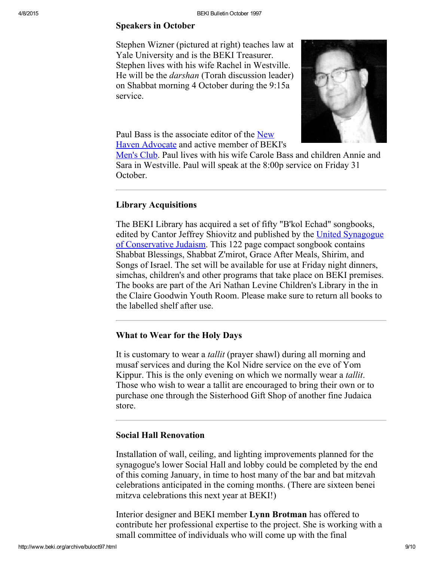#### <span id="page-8-1"></span>Speakers in October

Stephen Wizner (pictured at right) teaches law at Yale University and is the BEKI Treasurer. Stephen lives with his wife Rachel in Westville. He will be the darshan (Torah discussion leader) on Shabbat morning 4 October during the 9:15a service.



Paul Bass is the associate editor of the New Haven [Advocate](http://www.beki.org/archive/www.newhavenadvocate.com) and active member of BEKI's

[Men's](http://www.beki.org/archive/mensclub.html) Club. Paul lives with his wife Carole Bass and children Annie and Sara in Westville. Paul will speak at the 8:00p service on Friday 31 October.

#### <span id="page-8-2"></span>Library Acquisitions

The BEKI Library has acquired a set of fifty "B'kol Echad" songbooks, edited by Cantor Jeffrey Shiovitz and published by the United Synagogue of [Conservative](http://www.beki.org/archive/www.uscj.org) Judaism. This 122 page compact songbook contains Shabbat Blessings, Shabbat Z'mirot, Grace After Meals, Shirim, and Songs of Israel. The set will be available for use at Friday night dinners, simchas, children's and other programs that take place on BEKI premises. The books are part of the Ari Nathan Levine Children's Library in the in the Claire Goodwin Youth Room. Please make sure to return all books to the labelled shelf after use.

## <span id="page-8-0"></span>What to Wear for the Holy Days

It is customary to wear a tallit (prayer shawl) during all morning and musaf services and during the Kol Nidre service on the eve of Yom Kippur. This is the only evening on which we normally wear a tallit. Those who wish to wear a tallit are encouraged to bring their own or to purchase one through the Sisterhood Gift Shop of another fine Judaica store.

## <span id="page-8-3"></span>Social Hall Renovation

Installation of wall, ceiling, and lighting improvements planned for the synagogue's lower Social Hall and lobby could be completed by the end of this coming January, in time to host many of the bar and bat mitzvah celebrations anticipated in the coming months. (There are sixteen benei mitzva celebrations this next year at BEKI!)

Interior designer and BEKI member Lynn Brotman has offered to contribute her professional expertise to the project. She is working with a small committee of individuals who will come up with the final